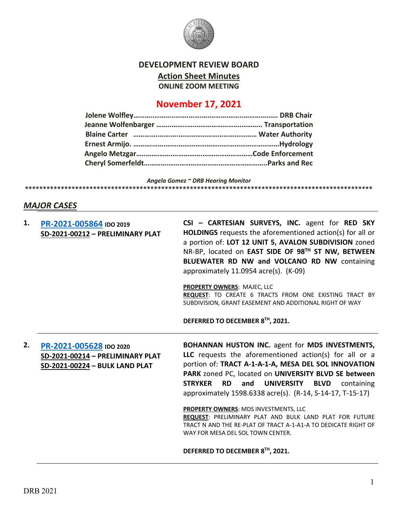

#### **DEVELOPMENT REVIEW BOARD**

**Action Sheet Minutes**

**ONLINE ZOOM MEETING**

# **November 17, 2021**

*Angela Gomez ~ DRB Hearing Monitor*

# **\*\*\*\*\*\*\*\*\*\*\*\*\*\*\*\*\*\*\*\*\*\*\*\*\*\*\*\*\*\*\*\*\*\*\*\*\*\*\*\*\*\*\*\*\*\*\*\*\*\*\*\*\*\*\*\*\*\*\*\*\*\*\*\*\*\*\*\*\*\*\*\*\*\*\*\*\*\*\*\*\*\*\*\*\*\*\*\*\*\*\*\*\*\*\*\*\***

# *MAJOR CASES*

| 1. | PR-2021-005864 IDO 2019<br>SD-2021-00212 - PRELIMINARY PLAT                                   | CSI - CARTESIAN SURVEYS, INC. agent for RED SKY<br><b>HOLDINGS</b> requests the aforementioned action(s) for all or<br>a portion of: LOT 12 UNIT 5, AVALON SUBDIVISION zoned<br>NR-BP, located on EAST SIDE OF 98TH ST NW, BETWEEN<br>BLUEWATER RD NW and VOLCANO RD NW containing<br>approximately 11.0954 acre(s). (K-09)<br>PROPERTY OWNERS: MAJEC, LLC<br>REQUEST: TO CREATE 6 TRACTS FROM ONE EXISTING TRACT BY<br>SUBDIVISION, GRANT EASEMENT AND ADDITIONAL RIGHT OF WAY                                                                                                                  |
|----|-----------------------------------------------------------------------------------------------|--------------------------------------------------------------------------------------------------------------------------------------------------------------------------------------------------------------------------------------------------------------------------------------------------------------------------------------------------------------------------------------------------------------------------------------------------------------------------------------------------------------------------------------------------------------------------------------------------|
|    |                                                                                               | DEFERRED TO DECEMBER 8TH, 2021.                                                                                                                                                                                                                                                                                                                                                                                                                                                                                                                                                                  |
| 2. | PR-2021-005628 IDO 2020<br>SD-2021-00214 - PRELIMINARY PLAT<br>SD-2021-00224 - BULK LAND PLAT | <b>BOHANNAN HUSTON INC.</b> agent for MDS INVESTMENTS,<br>LLC requests the aforementioned action(s) for all or a<br>portion of: TRACT A-1-A-1-A, MESA DEL SOL INNOVATION<br>PARK zoned PC, located on UNIVERSITY BLVD SE between<br><b>STRYKER</b><br><b>RD</b><br><b>UNIVERSITY</b><br><b>BLVD</b><br>containing<br>and<br>approximately 1598.6338 acre(s). (R-14, S-14-17, T-15-17)<br>PROPERTY OWNERS: MDS INVESTMENTS, LLC<br>REQUEST: PRELIMINARY PLAT AND BULK LAND PLAT FOR FUTURE<br>TRACT N AND THE RE-PLAT OF TRACT A-1-A1-A TO DEDICATE RIGHT OF<br>WAY FOR MESA DEL SOL TOWN CENTER. |
|    |                                                                                               | DEFERRED TO DECEMBER 8TH, 2021.                                                                                                                                                                                                                                                                                                                                                                                                                                                                                                                                                                  |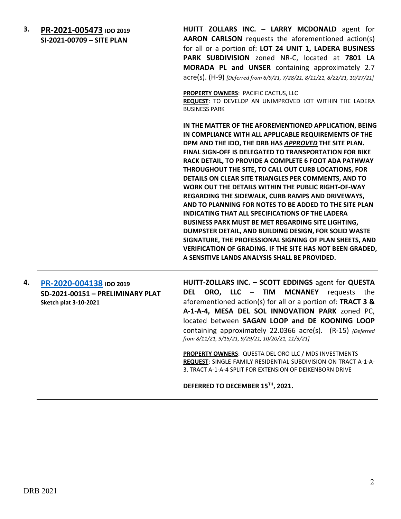**3. [PR-2021-005473](http://data.cabq.gov/government/planning/DRB/PR-2021-005473/DRB%20Submittals/PR-2021-005473_Nov_17_2021_Supp/) IDO 2019 SI-2021-00709 – SITE PLAN**

**HUITT ZOLLARS INC. – LARRY MCDONALD** agent for **AARON CARLSON** requests the aforementioned action(s) for all or a portion of: **LOT 24 UNIT 1, LADERA BUSINESS PARK SUBDIVISION** zoned NR-C, located at **7801 LA MORADA PL and UNSER** containing approximately 2.7 acre(s). (H-9) *[Deferred from 6/9/21, 7/28/21, 8/11/21, 8/22/21, 10/27/21]*

**PROPERTY OWNERS**: PACIFIC CACTUS, LLC

**REQUEST**: TO DEVELOP AN UNIMPROVED LOT WITHIN THE LADERA BUSINESS PARK

**IN THE MATTER OF THE AFOREMENTIONED APPLICATION, BEING IN COMPLIANCE WITH ALL APPLICABLE REQUIREMENTS OF THE DPM AND THE IDO, THE DRB HAS** *APPROVED* **THE SITE PLAN. FINAL SIGN-OFF IS DELEGATED TO TRANSPORTATION FOR BIKE RACK DETAIL, TO PROVIDE A COMPLETE 6 FOOT ADA PATHWAY THROUGHOUT THE SITE, TO CALL OUT CURB LOCATIONS, FOR DETAILS ON CLEAR SITE TRIANGLES PER COMMENTS, AND TO WORK OUT THE DETAILS WITHIN THE PUBLIC RIGHT-OF-WAY REGARDING THE SIDEWALK, CURB RAMPS AND DRIVEWAYS, AND TO PLANNING FOR NOTES TO BE ADDED TO THE SITE PLAN INDICATING THAT ALL SPECIFICATIONS OF THE LADERA BUSINESS PARK MUST BE MET REGARDING SITE LIGHTING, DUMPSTER DETAIL, AND BUILDING DESIGN, FOR SOLID WASTE SIGNATURE, THE PROFESSIONAL SIGNING OF PLAN SHEETS, AND VERIFICATION OF GRADING. IF THE SITE HAS NOT BEEN GRADED, A SENSITIVE LANDS ANALYSIS SHALL BE PROVIDED.**

**4. [PR-2020-004138](http://data.cabq.gov/government/planning/DRB/PR-2020-004138/DRB%20Submittals/PR-2020-004138_AUG_11_2021%20(PP)/) IDO 2019 SD-2021-00151 – PRELIMINARY PLAT Sketch plat 3-10-2021**

**HUITT-ZOLLARS INC. – SCOTT EDDINGS** agent for **QUESTA DEL ORO, LLC – TIM MCNANEY** requests the aforementioned action(s) for all or a portion of: **TRACT 3 & A-1-A-4, MESA DEL SOL INNOVATION PARK** zoned PC, located between **SAGAN LOOP and DE KOONING LOOP** containing approximately 22.0366 acre(s). (R-15) *{Deferred from 8/11/21, 9/15/21, 9/29/21, 10/20/21, 11/3/21]*

**PROPERTY OWNERS**: QUESTA DEL ORO LLC / MDS INVESTMENTS **REQUEST**: SINGLE FAMILY RESIDENTIAL SUBDIVISION ON TRACT A-1-A-3. TRACT A-1-A-4 SPLIT FOR EXTENSION OF DEIKENBORN DRIVE

**DEFERRED TO DECEMBER 15TH, 2021.**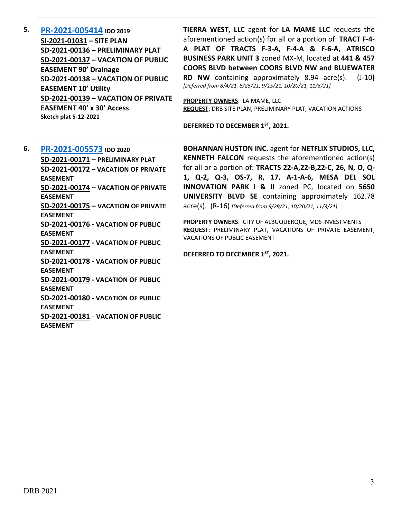**5. [PR-2021-005414](http://data.cabq.gov/government/planning/DRB/PR-2021-005414/DRB%20Submittals/) IDO 2019 SI-2021-01031 – SITE PLAN SD-2021-00136 – PRELIMINARY PLAT SD-2021-00137 – VACATION OF PUBLIC EASEMENT 90' Drainage SD-2021-00138 – VACATION OF PUBLIC EASEMENT 10' Utility SD-2021-00139 – VACATION OF PRIVATE EASEMENT 40' x 30' Access Sketch plat 5-12-2021**

**TIERRA WEST, LLC** agent for **LA MAME LLC** requests the aforementioned action(s) for all or a portion of: **TRACT F-4- A PLAT OF TRACTS F-3-A, F-4-A & F-6-A, ATRISCO BUSINESS PARK UNIT 3** zoned MX-M, located at **441 & 457 COORS BLVD between COORS BLVD NW and BLUEWATER RD NW** containing approximately 8.94 acre(s). (J-10**)**  *[Deferred from 8/4/21, 8/25/21, 9/15/21, 10/20/21, 11/3/21]*

**PROPERTY OWNERS**: LA MAME, LLC **REQUEST**: DRB SITE PLAN, PRELIMINARY PLAT, VACATION ACTIONS

**DEFERRED TO DECEMBER 1ST, 2021.**

**6. [PR-2021-005573](http://data.cabq.gov/government/planning/DRB/PR-2021-005573/DRB%20Submittals/) IDO 2020 SD-2021-00171 – PRELIMINARY PLAT SD-2021-00172 – VACATION OF PRIVATE EASEMENT SD-2021-00174 – VACATION OF PRIVATE EASEMENT SD-2021-00175 – VACATION OF PRIVATE EASEMENT SD-2021-00176 - VACATION OF PUBLIC EASEMENT SD-2021-00177 - VACATION OF PUBLIC EASEMENT SD-2021-00178 - VACATION OF PUBLIC EASEMENT SD-2021-00179 - VACATION OF PUBLIC EASEMENT SD-2021-00180 - VACATION OF PUBLIC EASEMENT SD-2021-00181** - **VACATION OF PUBLIC EASEMENT**

**BOHANNAN HUSTON INC.** agent for **NETFLIX STUDIOS, LLC, KENNETH FALCON** requests the aforementioned action(s) for all or a portion of: **TRACTS 22-A,22-B,22-C, 26, N, O, Q-1, Q-2, Q-3, OS-7, R, 17, A-1-A-6, MESA DEL SOL INNOVATION PARK I & II** zoned PC, located on **5650 UNIVERSITY BLVD SE** containing approximately 162.78 acre(s). (R-16) *[Deferred from 9/29/21, 10/20/21, 11/3/21]*

**PROPERTY OWNERS**: CITY OF ALBUQUERQUE, MDS INVESTMENTS **REQUEST**: PRELIMINARY PLAT, VACATIONS OF PRIVATE EASEMENT, VACATIONS OF PUBLIC EASEMENT

**DEFERRED TO DECEMBER 1ST, 2021.**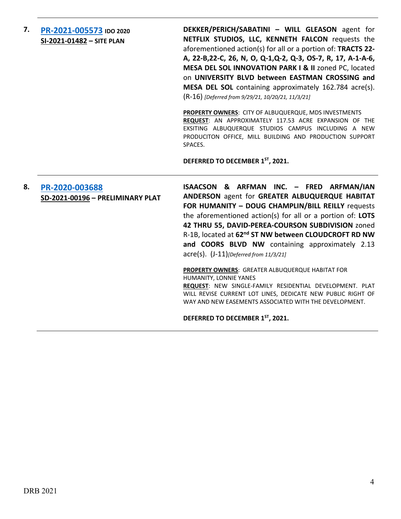**7. [PR-2021-005573](http://data.cabq.gov/government/planning/DRB/PR-2021-005573/DRB%20Submittals/) IDO 2020 SI-2021-01482 – SITE PLAN**

**DEKKER/PERICH/SABATINI – WILL GLEASON** agent for **NETFLIX STUDIOS, LLC, KENNETH FALCON** requests the aforementioned action(s) for all or a portion of: **TRACTS 22- A, 22-B,22-C, 26, N, O, Q-1,Q-2, Q-3, OS-7, R, 17, A-1-A-6, MESA DEL SOL INNOVATION PARK I & II** zoned PC, located on **UNIVERSITY BLVD between EASTMAN CROSSING and MESA DEL SOL** containing approximately 162.784 acre(s). (R-16) *[Deferred from 9/29/21, 10/20/21, 11/3/21]*

**PROPERTY OWNERS**: CITY OF ALBUQUERQUE, MDS INVESTMENTS **REQUEST**: AN APPROXIMATELY 117.53 ACRE EXPANSION OF THE EXSITING ALBUQUERQUE STUDIOS CAMPUS INCLUDING A NEW PRODUCITON OFFICE, MILL BUILDING AND PRODUCTION SUPPORT SPACES.

**DEFERRED TO DECEMBER 1ST, 2021.**

**8. [PR-2020-003688](http://data.cabq.gov/government/planning/DRB/PR-2020-003688/DRB%20Submittals/) SD-2021-00196 – PRELIMINARY PLAT ISAACSON & ARFMAN INC. – FRED ARFMAN/IAN ANDERSON** agent for **GREATER ALBUQUERQUE HABITAT FOR HUMANITY – DOUG CHAMPLIN/BILL REILLY** requests the aforementioned action(s) for all or a portion of: **LOTS 42 THRU 55, DAVID-PEREA-COURSON SUBDIVISION** zoned R-1B, located at **62nd ST NW between CLOUDCROFT RD NW and COORS BLVD NW** containing approximately 2.13 acre(s). (J-11)*[Deferred from 11/3/21]*

**PROPERTY OWNERS**: GREATER ALBUQUERQUE HABITAT FOR HUMANITY, LONNIE YANES **REQUEST**: NEW SINGLE-FAMILY RESIDENTIAL DEVELOPMENT. PLAT WILL REVISE CURRENT LOT LINES, DEDICATE NEW PUBLIC RIGHT OF WAY AND NEW EASEMENTS ASSOCIATED WITH THE DEVELOPMENT.

**DEFERRED TO DECEMBER 1ST, 2021.**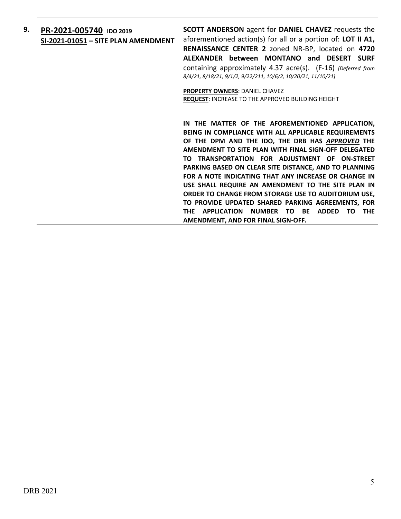# **9. [PR-2021-005740](http://data.cabq.gov/government/planning/DRB/PR-2021-005740/DRB%20Submittals/PR-2021-005740_Nov_17_2021_Supp/) IDO 2019 SI-2021-01051 – SITE PLAN AMENDMENT**

**SCOTT ANDERSON** agent for **DANIEL CHAVEZ** requests the aforementioned action(s) for all or a portion of: **LOT II A1, RENAISSANCE CENTER 2** zoned NR-BP, located on **4720 ALEXANDER between MONTANO and DESERT SURF**  containing approximately 4.37 acre(s). (F-16) *[Deferred from 8/4/21, 8/18/21, 9/1/2, 9/22/211, 10/6/2, 10/20/21, 11/10/21]*

**PROPERTY OWNERS**: DANIEL CHAVEZ **REQUEST**: INCREASE TO THE APPROVED BUILDING HEIGHT

**IN THE MATTER OF THE AFOREMENTIONED APPLICATION, BEING IN COMPLIANCE WITH ALL APPLICABLE REQUIREMENTS OF THE DPM AND THE IDO, THE DRB HAS** *APPROVED* **THE AMENDMENT TO SITE PLAN WITH FINAL SIGN-OFF DELEGATED TO TRANSPORTATION FOR ADJUSTMENT OF ON-STREET PARKING BASED ON CLEAR SITE DISTANCE, AND TO PLANNING FOR A NOTE INDICATING THAT ANY INCREASE OR CHANGE IN USE SHALL REQUIRE AN AMENDMENT TO THE SITE PLAN IN ORDER TO CHANGE FROM STORAGE USE TO AUDITORIUM USE, TO PROVIDE UPDATED SHARED PARKING AGREEMENTS, FOR THE APPLICATION NUMBER TO BE ADDED TO THE AMENDMENT, AND FOR FINAL SIGN-OFF.**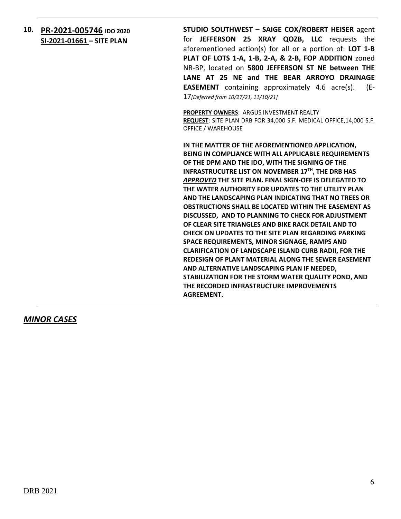# **10. [PR-2021-005746](http://data.cabq.gov/government/planning/DRB/PR-2021-005746/DRB%20Submittals/) IDO 2020 SI-2021-01661 – SITE PLAN**

**STUDIO SOUTHWEST – SAIGE COX/ROBERT HEISER** agent for **JEFFERSON 25 XRAY QOZB, LLC** requests the aforementioned action(s) for all or a portion of: **LOT 1-B PLAT OF LOTS 1-A, 1-B, 2-A, & 2-B, FOP ADDITION** zoned NR-BP, located on **5800 JEFFERSON ST NE between THE LANE AT 25 NE and THE BEAR ARROYO DRAINAGE EASEMENT** containing approximately 4.6 acre(s). (E-17*[Deferred from 10/27/21, 11/10/21]*

**PROPERTY OWNERS**: ARGUS INVESTMENT REALTY **REQUEST**: SITE PLAN DRB FOR 34,000 S.F. MEDICAL OFFICE,14,000 S.F. OFFICE / WAREHOUSE

**IN THE MATTER OF THE AFOREMENTIONED APPLICATION, BEING IN COMPLIANCE WITH ALL APPLICABLE REQUIREMENTS OF THE DPM AND THE IDO, WITH THE SIGNING OF THE INFRASTRUCUTRE LIST ON NOVEMBER 17TH, THE DRB HAS**  *APPROVED* **THE SITE PLAN. FINAL SIGN-OFF IS DELEGATED TO THE WATER AUTHORITY FOR UPDATES TO THE UTILITY PLAN AND THE LANDSCAPING PLAN INDICATING THAT NO TREES OR OBSTRUCTIONS SHALL BE LOCATED WITHIN THE EASEMENT AS DISCUSSED, AND TO PLANNING TO CHECK FOR ADJUSTMENT OF CLEAR SITE TRIANGLES AND BIKE RACK DETAIL AND TO CHECK ON UPDATES TO THE SITE PLAN REGARDING PARKING SPACE REQUIREMENTS, MINOR SIGNAGE, RAMPS AND CLARIFICATION OF LANDSCAPE ISLAND CURB RADII, FOR THE REDESIGN OF PLANT MATERIAL ALONG THE SEWER EASEMENT AND ALTERNATIVE LANDSCAPING PLAN IF NEEDED, STABILIZATION FOR THE STORM WATER QUALITY POND, AND THE RECORDED INFRASTRUCTURE IMPROVEMENTS AGREEMENT.**

### *MINOR CASES*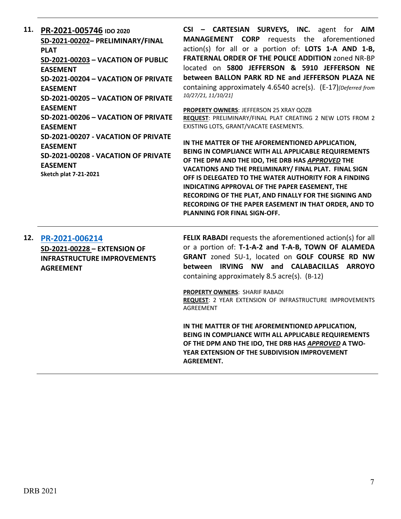**11. [PR-2021-005746](http://data.cabq.gov/government/planning/DRB/PR-2021-005746/DRB%20Submittals/PR-2021-005746_Nov_17_2021_Supp/PR-2021-005746_DRB%20Supp_11-12-21.pdf) IDO 2020 SD-2021-00202– PRELIMINARY/FINAL PLAT SD-2021-00203 – VACATION OF PUBLIC EASEMENT SD-2021-00204 – VACATION OF PRIVATE EASEMENT SD-2021-00205 – VACATION OF PRIVATE EASEMENT SD-2021-00206 – VACATION OF PRIVATE EASEMENT SD-2021-00207 - VACATION OF PRIVATE EASEMENT SD-2021-00208 - VACATION OF PRIVATE EASEMENT Sketch plat 7-21-2021**

**CSI – CARTESIAN SURVEYS, INC.** agent for **AIM MANAGEMENT CORP** requests the aforementioned action(s) for all or a portion of: **LOTS 1-A AND 1-B, FRATERNAL ORDER OF THE POLICE ADDITION** zoned NR-BP located on **5800 JEFFERSON & 5910 JEFFERSON NE between BALLON PARK RD NE and JEFFERSON PLAZA NE** containing approximately 4.6540 acre(s). (E-17)*[Deferred from 10/27/21, 11/10/21]*

**PROPERTY OWNERS**: JEFFERSON 25 XRAY QOZB **REQUEST**: PRELIMINARY/FINAL PLAT CREATING 2 NEW LOTS FROM 2 EXISTING LOTS, GRANT/VACATE EASEMENTS.

**IN THE MATTER OF THE AFOREMENTIONED APPLICATION, BEING IN COMPLIANCE WITH ALL APPLICABLE REQUIREMENTS OF THE DPM AND THE IDO, THE DRB HAS** *APPROVED* **THE VACATIONS AND THE PRELIMINARY/ FINAL PLAT. FINAL SIGN OFF IS DELEGATED TO THE WATER AUTHORITY FOR A FINDING INDICATING APPROVAL OF THE PAPER EASEMENT, THE RECORDING OF THE PLAT, AND FINALLY FOR THE SIGNING AND RECORDING OF THE PAPER EASEMENT IN THAT ORDER, AND TO PLANNING FOR FINAL SIGN-OFF.**

### **12. [PR-2021-006214](http://data.cabq.gov/government/planning/DRB/PR-2021-006214/DRB%20Submittals/PR-2021-006214_Nov_17_2021%20(Ext.%20IIA)/Application/rabadicomplexextension.pdf) SD-2021-00228 – EXTENSION OF INFRASTRUCTURE IMPROVEMENTS AGREEMENT**

**FELIX RABADI** requests the aforementioned action(s) for all or a portion of: **T-1-A-2 and T-A-B, TOWN OF ALAMEDA GRANT** zoned SU-1, located on **GOLF COURSE RD NW between IRVING NW and CALABACILLAS ARROYO** containing approximately 8.5 acre(s). (B-12)

**PROPERTY OWNERS**: SHARIF RABADI **REQUEST**: 2 YEAR EXTENSION OF INFRASTRUCTURE IMPROVEMENTS AGREEMENT

**IN THE MATTER OF THE AFOREMENTIONED APPLICATION, BEING IN COMPLIANCE WITH ALL APPLICABLE REQUIREMENTS OF THE DPM AND THE IDO, THE DRB HAS** *APPROVED* **A TWO-YEAR EXTENSION OF THE SUBDIVISION IMPROVEMENT AGREEMENT.**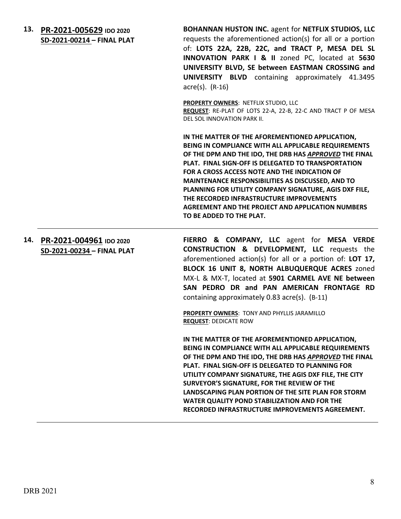**13. [PR-2021-005629](http://data.cabq.gov/government/planning/DRB/PR-2021-005629/DRB%20Submittals/PR-2021-005629_Nov_17_2021%20(FP)/001_CompleteDRB_application_FINALPlat-North.pdf) IDO 2020 SD-2021-00214 – FINAL PLAT** **BOHANNAN HUSTON INC.** agent for **NETFLIX STUDIOS, LLC** requests the aforementioned action(s) for all or a portion of: **LOTS 22A, 22B, 22C, and TRACT P, MESA DEL SL INNOVATION PARK I & II** zoned PC, located at **5630 UNIVERSITY BLVD, SE between EASTMAN CROSSING and UNIVERSITY BLVD** containing approximately 41.3495 acre(s). (R-16)

**PROPERTY OWNERS**: NETFLIX STUDIO, LLC

**REQUEST**: RE-PLAT OF LOTS 22-A, 22-B, 22-C AND TRACT P OF MESA DEL SOL INNOVATION PARK II.

**IN THE MATTER OF THE AFOREMENTIONED APPLICATION, BEING IN COMPLIANCE WITH ALL APPLICABLE REQUIREMENTS OF THE DPM AND THE IDO, THE DRB HAS** *APPROVED* **THE FINAL PLAT. FINAL SIGN-OFF IS DELEGATED TO TRANSPORTATION FOR A CROSS ACCESS NOTE AND THE INDICATION OF MAINTENANCE RESPONSIBILITIES AS DISCUSSED, AND TO PLANNING FOR UTILITY COMPANY SIGNATURE, AGIS DXF FILE, THE RECORDED INFRASTRUCTURE IMPROVEMENTS AGREEMENT AND THE PROJECT AND APPLICATION NUMBERS TO BE ADDED TO THE PLAT.**

**14. [PR-2021-004961](http://data.cabq.gov/government/planning/DRB/PR-2021-004961/DRB%20Submittals/PR-2021-004961_Nov_17_2021%20(FP)/) IDO 2020 SD-2021-00234 – FINAL PLAT FIERRO & COMPANY, LLC** agent for **MESA VERDE CONSTRUCTION & DEVELOPMENT, LLC** requests the aforementioned action(s) for all or a portion of: **LOT 17, BLOCK 16 UNIT 8, NORTH ALBUQUERQUE ACRES** zoned MX-L & MX-T, located at **5901 CARMEL AVE NE between SAN PEDRO DR and PAN AMERICAN FRONTAGE RD**  containing approximately 0.83 acre(s). (B-11)

> **PROPERTY OWNERS**: TONY AND PHYLLIS JARAMILLO **REQUEST**: DEDICATE ROW

**IN THE MATTER OF THE AFOREMENTIONED APPLICATION, BEING IN COMPLIANCE WITH ALL APPLICABLE REQUIREMENTS OF THE DPM AND THE IDO, THE DRB HAS** *APPROVED* **THE FINAL PLAT. FINAL SIGN-OFF IS DELEGATED TO PLANNING FOR UTILITY COMPANY SIGNATURE, THE AGIS DXF FILE, THE CITY SURVEYOR'S SIGNATURE, FOR THE REVIEW OF THE LANDSCAPING PLAN PORTION OF THE SITE PLAN FOR STORM WATER QUALITY POND STABILIZATION AND FOR THE RECORDED INFRASTRUCTURE IMPROVEMENTS AGREEMENT.**

DRB 2021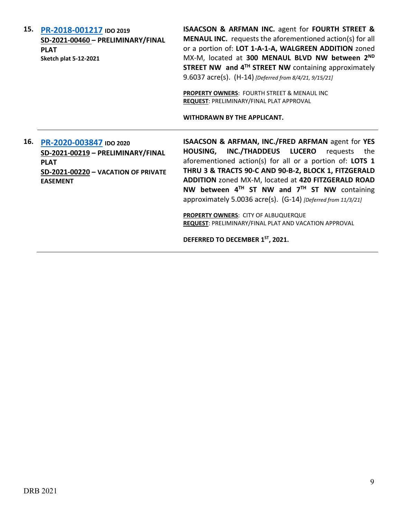**15. [PR-2018-001217](http://data.cabq.gov/government/planning/DRB/PR-2018-001217/DRB%20Submittals/) IDO 2019 SD-2021-00460 – PRELIMINARY/FINAL PLAT Sketch plat 5-12-2021 ISAACSON & ARFMAN INC.** agent for **FOURTH STREET & MENAUL INC.** requests the aforementioned action(s) for all or a portion of: **LOT 1-A-1-A, WALGREEN ADDITION** zoned MX-M, located at **300 MENAUL BLVD NW between 2ND STREET NW and 4TH STREET NW** containing approximately 9.6037 acre(s). (H-14) *[Deferred from 8/4/21, 9/15/21]* **PROPERTY OWNERS**: FOURTH STREET & MENAUL INC **REQUEST**: PRELIMINARY/FINAL PLAT APPROVAL **WITHDRAWN BY THE APPLICANT. 16. [PR-2020-003847](http://data.cabq.gov/government/planning/DRB/PR-2020-003847/DRB%20Submittals/PR-2020-003847_Nov_17_2021_Supp/) IDO 2020 SD-2021-00219 – PRELIMINARY/FINAL PLAT SD-2021-00220 – VACATION OF PRIVATE EASEMENT ISAACSON & ARFMAN, INC./FRED ARFMAN** agent for **YES HOUSING, INC./THADDEUS LUCERO** requests the aforementioned action(s) for all or a portion of: **LOTS 1 THRU 3 & TRACTS 90-C AND 90-B-2, BLOCK 1, FITZGERALD ADDITION** zoned MX-M, located at **420 FITZGERALD ROAD NW between 4TH ST NW and 7TH ST NW** containing approximately 5.0036 acre(s). (G-14) *[Deferred from 11/3/21]* **PROPERTY OWNERS**: CITY OF ALBUQUERQUE **REQUEST**: PRELIMINARY/FINAL PLAT AND VACATION APPROVAL **DEFERRED TO DECEMBER 1ST, 2021.**

DRB 2021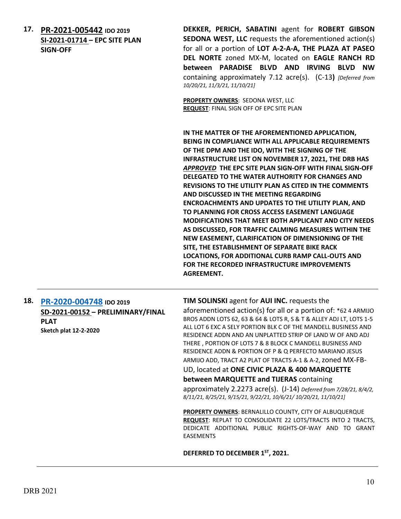**17. [PR-2021-005442](http://data.cabq.gov/government/planning/DRB/PR-2021-005442/DRB%20Submittals/PR-2021-005442_Nov_17_2021_SUPP/Sedona%20West.pdf) IDO 2019 SI-2021-01714 – EPC SITE PLAN SIGN-OFF**

**DEKKER, PERICH, SABATINI** agent for **ROBERT GIBSON SEDONA WEST, LLC** requests the aforementioned action(s) for all or a portion of **LOT A-2-A-A, THE PLAZA AT PASEO DEL NORTE** zoned MX-M, located on **EAGLE RANCH RD between PARADISE BLVD AND IRVING BLVD NW**  containing approximately 7.12 acre(s). (C-13**)** *[Deferred from 10/20/21, 11/3/21, 11/10/21]*

**PROPERTY OWNERS**: SEDONA WEST, LLC **REQUEST**: FINAL SIGN OFF OF EPC SITE PLAN

**IN THE MATTER OF THE AFOREMENTIONED APPLICATION, BEING IN COMPLIANCE WITH ALL APPLICABLE REQUIREMENTS OF THE DPM AND THE IDO, WITH THE SIGNING OF THE INFRASTRUCTURE LIST ON NOVEMBER 17, 2021, THE DRB HAS**  *APPROVED* **THE EPC SITE PLAN SIGN-OFF WITH FINAL SIGN-OFF DELEGATED TO THE WATER AUTHORITY FOR CHANGES AND REVISIONS TO THE UTILITY PLAN AS CITED IN THE COMMENTS AND DISCUSSED IN THE MEETING REGARDING ENCROACHMENTS AND UPDATES TO THE UTILITY PLAN, AND TO PLANNING FOR CROSS ACCESS EASEMENT LANGUAGE MODIFICATIONS THAT MEET BOTH APPLICANT AND CITY NEEDS AS DISCUSSED, FOR TRAFFIC CALMING MEASURES WITHIN THE NEW EASEMENT, CLARIFICATION OF DIMENSIONING OF THE SITE, THE ESTABLISHMENT OF SEPARATE BIKE RACK LOCATIONS, FOR ADDITIONAL CURB RAMP CALL-OUTS AND FOR THE RECORDED INFRASTRUCTURE IMPROVEMENTS AGREEMENT.**

**18. [PR-2020-004748](http://data.cabq.gov/government/planning/DRB/PR-2020-004748/DRB%20Submittals/) IDO 2019 SD-2021-00152 – PRELIMINARY/FINAL PLAT Sketch plat 12-2-2020**

**TIM SOLINSKI** agent for **AUI INC.** requests the aforementioned action(s) for all or a portion of: \*62 4 ARMIJO BROS ADDN LOTS 62, 63 & 64 & LOTS R, S & T & ALLEY ADJ LT, LOTS 1-5 ALL LOT 6 EXC A SELY PORTION BLK C OF THE MANDELL BUSINESS AND RESIDENCE ADDN AND AN UNPLATTED STRIP OF LAND W OF AND ADJ THERE , PORTION OF LOTS 7 & 8 BLOCK C MANDELL BUSINESS AND RESIDENCE ADDN & PORTION OF P & Q PERFECTO MARIANO JESUS ARMIJO ADD, TRACT A2 PLAT OF TRACTS A-1 & A-2,zoned MX-FB-UD, located at **ONE CIVIC PLAZA & 400 MARQUETTE between MARQUETTE and TIJERAS** containing approximately 2.2273 acre(s). (J-14) *Deferred from 7/28/21, 8/4/2, 8/11/21, 8/25/21, 9/15/21, 9/22/21, 10/6/21/ 10/20/21, 11/10/21]*

**PROPERTY OWNERS**: BERNALILLO COUNTY, CITY OF ALBUQUERQUE **REQUEST**: REPLAT TO CONSOLIDATE 22 LOTS/TRACTS INTO 2 TRACTS, DEDICATE ADDITIONAL PUBLIC RIGHTS-OF-WAY AND TO GRANT EASEMENTS

**DEFERRED TO DECEMBER 1ST, 2021.**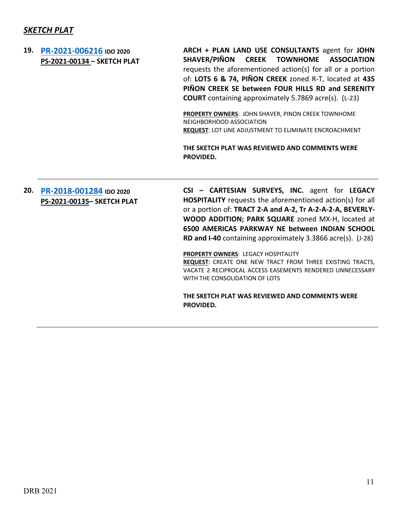# *SKETCH PLAT*

# **19. [PR-2021-006216](http://data.cabq.gov/government/planning/DRB/PR-2021-006216/DRB%20Submittals/PR-2021-006216_Nov_17_2021%20(Sketch)/Application/PINON%20CREEK%20SKETCH%20PLAT%20david%20arch%20PS-221-00134.PDF) IDO 2020 PS-2021-00134 – SKETCH PLAT ARCH + PLAN LAND USE CONSULTANTS** agent for **JOHN SHAVER/PIÑON CREEK TOWNHOME ASSOCIATION** requests the aforementioned action(s) for all or a portion of: **LOTS 6 & 74, PIÑON CREEK** zoned R-T, located at **435 PIÑON CREEK SE between FOUR HILLS RD and SERENITY COURT** containing approximately 5.7869 acre(s). (L-23) **PROPERTY OWNERS**: JOHN SHAVER, PINON CREEK TOWNHOME NEIGHBORHOOD ASSOCIATION **REQUEST**: LOT LINE ADJUSTMENT TO ELIMINATE ENCROACHMENT **THE SKETCH PLAT WAS REVIEWED AND COMMENTS WERE PROVIDED. 20. [PR-2018-001284](http://data.cabq.gov/government/planning/DRB/PR-2018-001284/DRB%20Submittals/PR-2018-001284_%20Nov_17_2021%20(Sketch)/Application/DRB_app_Sk_Plat_Markana_Uptown_181297E.pdf) IDO 2020 PS-2021-00135– SKETCH PLAT CSI – CARTESIAN SURVEYS, INC.** agent for **LEGACY HOSPITALITY** requests the aforementioned action(s) for all or a portion of: **TRACT 2-A and A-2, Tr A-2-A-2-A, BEVERLY-WOOD ADDITION; PARK SQUARE** zoned MX-H, located at **6500 AMERICAS PARKWAY NE between INDIAN SCHOOL RD and I-40** containing approximately 3.3866 acre(s). (J-28)

**PROPERTY OWNERS**: LEGACY HOSPITALITY **REQUEST**: CREATE ONE NEW TRACT FROM THREE EXISTING TRACTS, VACATE 2 RECIPROCAL ACCESS EASEMENTS RENDERED UNNECESSARY WITH THE CONSOLIDATION OF LOTS

**THE SKETCH PLAT WAS REVIEWED AND COMMENTS WERE PROVIDED.**